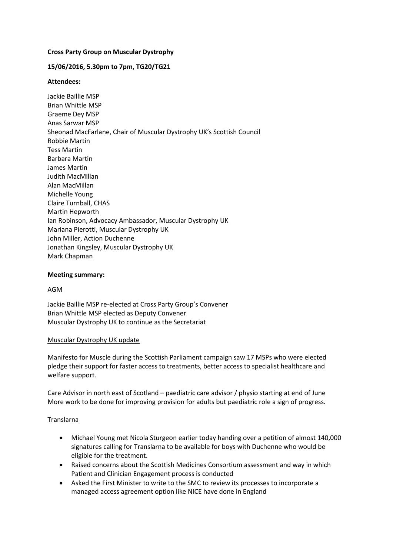## **Cross Party Group on Muscular Dystrophy**

## **15/06/2016, 5.30pm to 7pm, TG20/TG21**

## **Attendees:**

Jackie Baillie MSP Brian Whittle MSP Graeme Dey MSP Anas Sarwar MSP Sheonad MacFarlane, Chair of Muscular Dystrophy UK's Scottish Council Robbie Martin Tess Martin Barbara Martin James Martin Judith MacMillan Alan MacMillan Michelle Young Claire Turnball, CHAS Martin Hepworth Ian Robinson, Advocacy Ambassador, Muscular Dystrophy UK Mariana Pierotti, Muscular Dystrophy UK John Miller, Action Duchenne Jonathan Kingsley, Muscular Dystrophy UK Mark Chapman

## **Meeting summary:**

## AGM

Jackie Baillie MSP re-elected at Cross Party Group's Convener Brian Whittle MSP elected as Deputy Convener Muscular Dystrophy UK to continue as the Secretariat

#### Muscular Dystrophy UK update

Manifesto for Muscle during the Scottish Parliament campaign saw 17 MSPs who were elected pledge their support for faster access to treatments, better access to specialist healthcare and welfare support.

Care Advisor in north east of Scotland – paediatric care advisor / physio starting at end of June More work to be done for improving provision for adults but paediatric role a sign of progress.

## Translarna

- Michael Young met Nicola Sturgeon earlier today handing over a petition of almost 140,000 signatures calling for Translarna to be available for boys with Duchenne who would be eligible for the treatment.
- Raised concerns about the Scottish Medicines Consortium assessment and way in which Patient and Clinician Engagement process is conducted
- Asked the First Minister to write to the SMC to review its processes to incorporate a managed access agreement option like NICE have done in England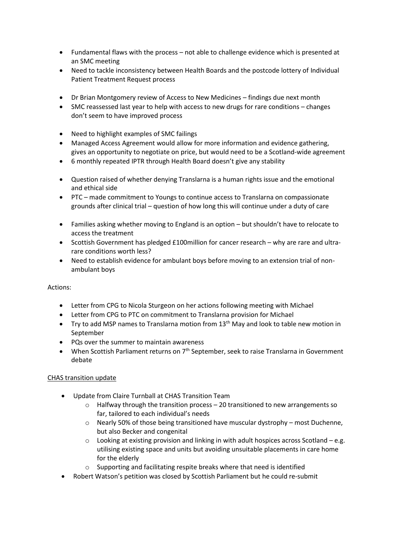- Fundamental flaws with the process not able to challenge evidence which is presented at an SMC meeting
- Need to tackle inconsistency between Health Boards and the postcode lottery of Individual Patient Treatment Request process
- Dr Brian Montgomery review of Access to New Medicines findings due next month
- SMC reassessed last year to help with access to new drugs for rare conditions changes don't seem to have improved process
- Need to highlight examples of SMC failings
- Managed Access Agreement would allow for more information and evidence gathering, gives an opportunity to negotiate on price, but would need to be a Scotland-wide agreement
- 6 monthly repeated IPTR through Health Board doesn't give any stability
- Question raised of whether denying Translarna is a human rights issue and the emotional and ethical side
- PTC made commitment to Youngs to continue access to Translarna on compassionate grounds after clinical trial – question of how long this will continue under a duty of care
- Families asking whether moving to England is an option but shouldn't have to relocate to access the treatment
- Scottish Government has pledged £100million for cancer research why are rare and ultrarare conditions worth less?
- Need to establish evidence for ambulant boys before moving to an extension trial of nonambulant boys

# Actions:

- Letter from CPG to Nicola Sturgeon on her actions following meeting with Michael
- Letter from CPG to PTC on commitment to Translarna provision for Michael
- $\bullet$  Try to add MSP names to Translarna motion from 13<sup>th</sup> May and look to table new motion in September
- PQs over the summer to maintain awareness
- $\bullet$  When Scottish Parliament returns on  $7<sup>th</sup>$  September, seek to raise Translarna in Government debate

# CHAS transition update

- Update from Claire Turnball at CHAS Transition Team
	- $\circ$  Halfway through the transition process 20 transitioned to new arrangements so far, tailored to each individual's needs
	- $\circ$  Nearly 50% of those being transitioned have muscular dystrophy most Duchenne, but also Becker and congenital
	- $\circ$  Looking at existing provision and linking in with adult hospices across Scotland e.g. utilising existing space and units but avoiding unsuitable placements in care home for the elderly
	- o Supporting and facilitating respite breaks where that need is identified
- Robert Watson's petition was closed by Scottish Parliament but he could re-submit